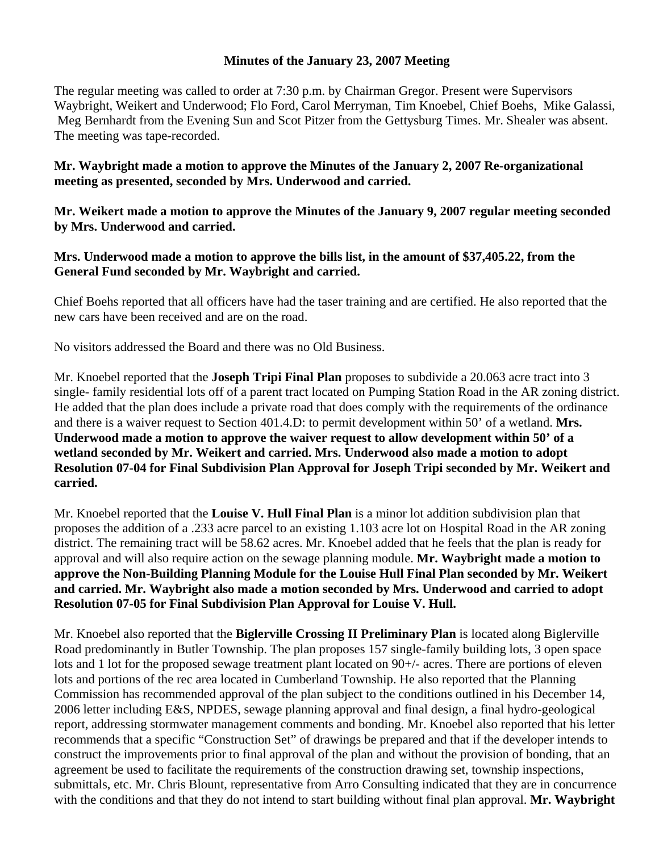## **Minutes of the January 23, 2007 Meeting**

The regular meeting was called to order at 7:30 p.m. by Chairman Gregor. Present were Supervisors Waybright, Weikert and Underwood; Flo Ford, Carol Merryman, Tim Knoebel, Chief Boehs, Mike Galassi, Meg Bernhardt from the Evening Sun and Scot Pitzer from the Gettysburg Times. Mr. Shealer was absent. The meeting was tape-recorded.

**Mr. Waybright made a motion to approve the Minutes of the January 2, 2007 Re-organizational meeting as presented, seconded by Mrs. Underwood and carried.** 

**Mr. Weikert made a motion to approve the Minutes of the January 9, 2007 regular meeting seconded by Mrs. Underwood and carried.** 

**Mrs. Underwood made a motion to approve the bills list, in the amount of \$37,405.22, from the General Fund seconded by Mr. Waybright and carried.** 

Chief Boehs reported that all officers have had the taser training and are certified. He also reported that the new cars have been received and are on the road.

No visitors addressed the Board and there was no Old Business.

Mr. Knoebel reported that the **Joseph Tripi Final Plan** proposes to subdivide a 20.063 acre tract into 3 single- family residential lots off of a parent tract located on Pumping Station Road in the AR zoning district. He added that the plan does include a private road that does comply with the requirements of the ordinance and there is a waiver request to Section 401.4.D: to permit development within 50' of a wetland. **Mrs. Underwood made a motion to approve the waiver request to allow development within 50' of a wetland seconded by Mr. Weikert and carried. Mrs. Underwood also made a motion to adopt Resolution 07-04 for Final Subdivision Plan Approval for Joseph Tripi seconded by Mr. Weikert and carried.** 

Mr. Knoebel reported that the **Louise V. Hull Final Plan** is a minor lot addition subdivision plan that proposes the addition of a .233 acre parcel to an existing 1.103 acre lot on Hospital Road in the AR zoning district. The remaining tract will be 58.62 acres. Mr. Knoebel added that he feels that the plan is ready for approval and will also require action on the sewage planning module. **Mr. Waybright made a motion to approve the Non-Building Planning Module for the Louise Hull Final Plan seconded by Mr. Weikert and carried. Mr. Waybright also made a motion seconded by Mrs. Underwood and carried to adopt Resolution 07-05 for Final Subdivision Plan Approval for Louise V. Hull.** 

Mr. Knoebel also reported that the **Biglerville Crossing II Preliminary Plan** is located along Biglerville Road predominantly in Butler Township. The plan proposes 157 single-family building lots, 3 open space lots and 1 lot for the proposed sewage treatment plant located on 90+/- acres. There are portions of eleven lots and portions of the rec area located in Cumberland Township. He also reported that the Planning Commission has recommended approval of the plan subject to the conditions outlined in his December 14, 2006 letter including E&S, NPDES, sewage planning approval and final design, a final hydro-geological report, addressing stormwater management comments and bonding. Mr. Knoebel also reported that his letter recommends that a specific "Construction Set" of drawings be prepared and that if the developer intends to construct the improvements prior to final approval of the plan and without the provision of bonding, that an agreement be used to facilitate the requirements of the construction drawing set, township inspections, submittals, etc. Mr. Chris Blount, representative from Arro Consulting indicated that they are in concurrence with the conditions and that they do not intend to start building without final plan approval. **Mr. Waybright**